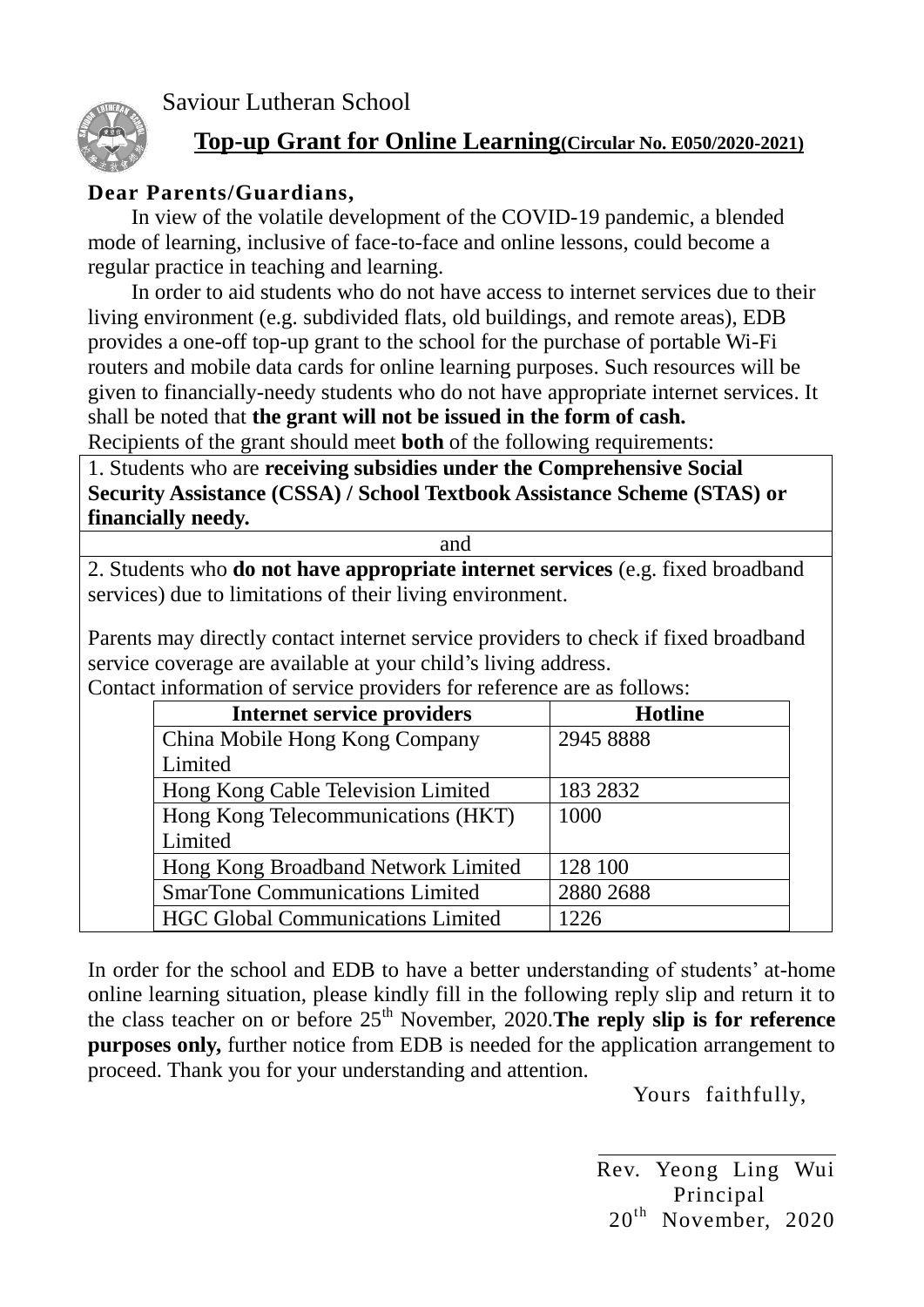Saviour Lutheran School



## **Top-up Grant for Online Learning(Circular No. E050/2020-2021)**

## **Dear Parents/Guardians,**

In view of the volatile development of the COVID-19 pandemic, a blended mode of learning, inclusive of face-to-face and online lessons, could become a regular practice in teaching and learning.

In order to aid students who do not have access to internet services due to their living environment (e.g. subdivided flats, old buildings, and remote areas), EDB provides a one-off top-up grant to the school for the purchase of portable Wi-Fi routers and mobile data cards for online learning purposes. Such resources will be given to financially-needy students who do not have appropriate internet services. It shall be noted that **the grant will not be issued in the form of cash.**

Recipients of the grant should meet **both** of the following requirements:

1. Students who are **receiving subsidies under the Comprehensive Social Security Assistance (CSSA) / School Textbook Assistance Scheme (STAS) or financially needy.**

and

2. Students who **do not have appropriate internet services** (e.g. fixed broadband services) due to limitations of their living environment.

Parents may directly contact internet service providers to check if fixed broadband service coverage are available at your child's living address.

| <b>Internet service providers</b>        | <b>Hotline</b> |
|------------------------------------------|----------------|
| China Mobile Hong Kong Company           | 2945 8888      |
| Limited                                  |                |
| Hong Kong Cable Television Limited       | 183 2832       |
| Hong Kong Telecommunications (HKT)       | 1000           |
| Limited                                  |                |
| Hong Kong Broadband Network Limited      | 128 100        |
| <b>SmarTone Communications Limited</b>   | 2880 2688      |
| <b>HGC Global Communications Limited</b> | 1226           |

Contact information of service providers for reference are as follows:

In order for the school and EDB to have a better understanding of students' at-home online learning situation, please kindly fill in the following reply slip and return it to the class teacher on or before 25<sup>th</sup> November, 2020. The reply slip is for reference **purposes only,** further notice from EDB is needed for the application arrangement to proceed. Thank you for your understanding and attention.

Yours faithfully,

Rev. Yeong Ling Wui Principal 20<sup>th</sup> November, 2020